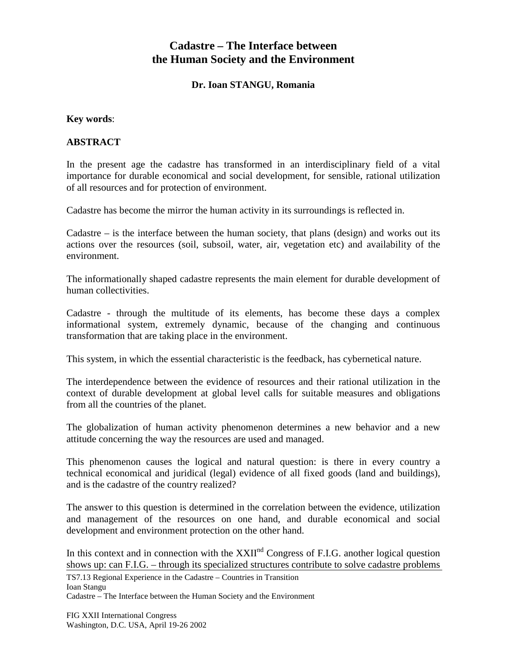## **Cadastre – The Interface between the Human Society and the Environment**

**Dr. Ioan STANGU, Romania**

## **Key words**:

## **ABSTRACT**

In the present age the cadastre has transformed in an interdisciplinary field of a vital importance for durable economical and social development, for sensible, rational utilization of all resources and for protection of environment.

Cadastre has become the mirror the human activity in its surroundings is reflected in.

Cadastre – is the interface between the human society, that plans (design) and works out its actions over the resources (soil, subsoil, water, air, vegetation etc) and availability of the environment.

The informationally shaped cadastre represents the main element for durable development of human collectivities.

Cadastre - through the multitude of its elements, has become these days a complex informational system, extremely dynamic, because of the changing and continuous transformation that are taking place in the environment.

This system, in which the essential characteristic is the feedback, has cybernetical nature.

The interdependence between the evidence of resources and their rational utilization in the context of durable development at global level calls for suitable measures and obligations from all the countries of the planet.

The globalization of human activity phenomenon determines a new behavior and a new attitude concerning the way the resources are used and managed.

This phenomenon causes the logical and natural question: is there in every country a technical economical and juridical (legal) evidence of all fixed goods (land and buildings), and is the cadastre of the country realized?

The answer to this question is determined in the correlation between the evidence, utilization and management of the resources on one hand, and durable economical and social development and environment protection on the other hand.

In this context and in connection with the  $XXII^{nd}$  Congress of F.I.G. another logical question shows up: can F.I.G. – through its specialized structures contribute to solve cadastre problems

TS7.13 Regional Experience in the Cadastre – Countries in Transition Ioan Stangu

Cadastre – The Interface between the Human Society and the Environment